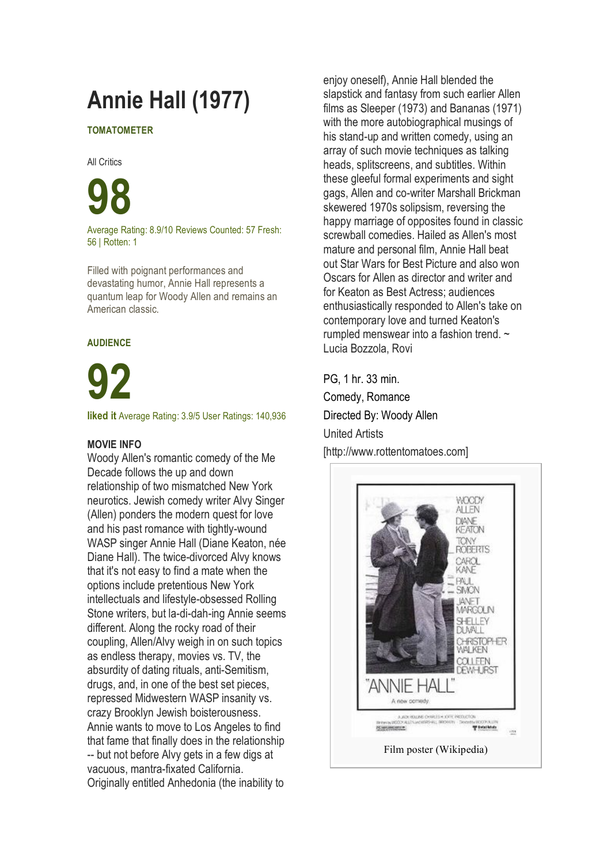# **Annie Hall (1977)**

#### **TOMATOMETER**

All Critics

**98**

Average Rating: 8.9/10 Reviews Counted: 57 Fresh: 56 | Rotten: 1

Filled with poignant performances and devastating humor, Annie Hall represents a quantum leap for Woody Allen and remains an American classic.

#### **AUDIENCE**

**92**

**liked it** Average Rating: 3.9/5 User Ratings: 140,936

#### **MOVIE INFO**

Woody Allen's romantic comedy of the Me Decade follows the up and down relationship of two mismatched New York neurotics. Jewish comedy writer Alvy Singer (Allen) ponders the modern quest for love and his past romance with tightly-wound WASP singer Annie Hall (Diane Keaton, née Diane Hall). The twice-divorced Alvy knows that it's not easy to find a mate when the options include pretentious New York intellectuals and lifestyle-obsessed Rolling Stone writers, but la-di-dah-ing Annie seems different. Along the rocky road of their coupling, Allen/Alvy weigh in on such topics as endless therapy, movies vs. TV, the absurdity of dating rituals, anti-Semitism, drugs, and, in one of the best set pieces, repressed Midwestern WASP insanity vs. crazy Brooklyn Jewish boisterousness. Annie wants to move to Los Angeles to find that fame that finally does in the relationship -- but not before Alvy gets in a few digs at vacuous, mantra-fixated California. Originally entitled Anhedonia (the inability to

enjoy oneself), Annie Hall blended the slapstick and fantasy from such earlier Allen films as Sleeper (1973) and Bananas (1971) with the more autobiographical musings of his stand-up and written comedy, using an array of such movie techniques as talking heads, splitscreens, and subtitles. Within these gleeful formal experiments and sight gags, Allen and co-writer Marshall Brickman skewered 1970s solipsism, reversing the happy marriage of opposites found in classic screwball comedies. Hailed as Allen's most mature and personal film, Annie Hall beat out Star Wars for Best Picture and also won Oscars for Allen as director and writer and for Keaton as Best Actress; audiences enthusiastically responded to Allen's take on contemporary love and turned Keaton's rumpled menswear into a fashion trend. ~ Lucia Bozzola, Rovi

PG, 1 hr. 33 min. Comedy, Romance Directed By: Woody Allen United Artists [http://www.rottentomatoes.com]

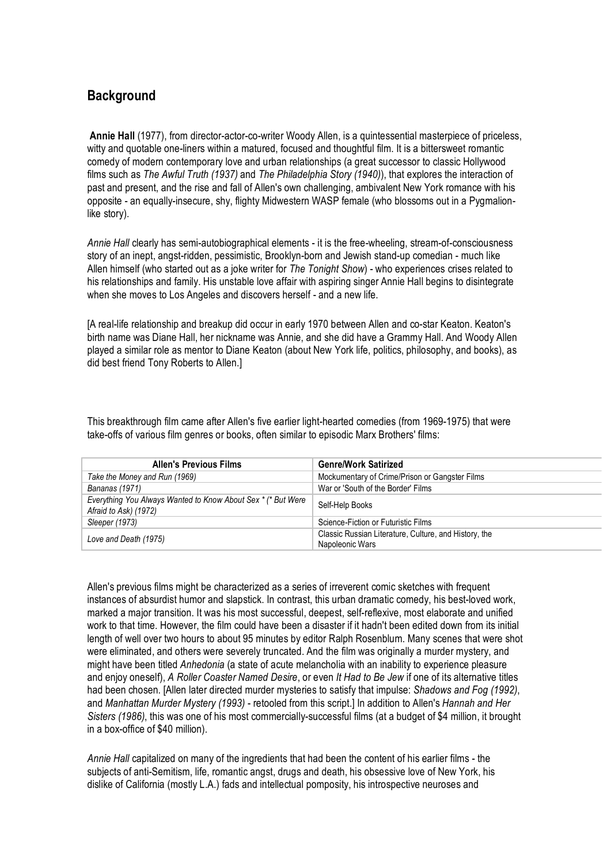### **Background**

**Annie Hall** (1977), from director-actor-co-writer Woody Allen, is a quintessential masterpiece of priceless, witty and quotable one-liners within a matured, focused and thoughtful film. It is a bittersweet romantic comedy of modern contemporary love and urban relationships (a great successor to classic Hollywood films such as *The Awful Truth (1937)* and *The Philadelphia Story (1940)*), that explores the interaction of past and present, and the rise and fall of Allen's own challenging, ambivalent New York romance with his opposite - an equally-insecure, shy, flighty Midwestern WASP female (who blossoms out in a Pygmalionlike story).

*Annie Hall* clearly has semi-autobiographical elements - it is the free-wheeling, stream-of-consciousness story of an inept, angst-ridden, pessimistic, Brooklyn-born and Jewish stand-up comedian - much like Allen himself (who started out as a joke writer for *The Tonight Show*) - who experiences crises related to his relationships and family. His unstable love affair with aspiring singer Annie Hall begins to disintegrate when she moves to Los Angeles and discovers herself - and a new life.

[A real-life relationship and breakup did occur in early 1970 between Allen and co-star Keaton. Keaton's birth name was Diane Hall, her nickname was Annie, and she did have a Grammy Hall. And Woody Allen played a similar role as mentor to Diane Keaton (about New York life, politics, philosophy, and books), as did best friend Tony Roberts to Allen.]

This breakthrough film came after Allen's five earlier light-hearted comedies (from 1969-1975) that were take-offs of various film genres or books, often similar to episodic Marx Brothers' films:

| <b>Allen's Previous Films</b>                                                         | <b>Genre/Work Satirized</b>                                              |
|---------------------------------------------------------------------------------------|--------------------------------------------------------------------------|
| Take the Money and Run (1969)                                                         | Mockumentary of Crime/Prison or Gangster Films                           |
| Bananas (1971)                                                                        | War or 'South of the Border' Films                                       |
| Everything You Always Wanted to Know About Sex * (* But Were<br>Afraid to Ask) (1972) | Self-Help Books                                                          |
| Sleeper (1973)                                                                        | Science-Fiction or Futuristic Films                                      |
| Love and Death (1975)                                                                 | Classic Russian Literature, Culture, and History, the<br>Napoleonic Wars |

Allen's previous films might be characterized as a series of irreverent comic sketches with frequent instances of absurdist humor and slapstick. In contrast, this urban dramatic comedy, his best-loved work, marked a major transition. It was his most successful, deepest, self-reflexive, most elaborate and unified work to that time. However, the film could have been a disaster if it hadn't been edited down from its initial length of well over two hours to about 95 minutes by editor Ralph Rosenblum. Many scenes that were shot were eliminated, and others were severely truncated. And the film was originally a murder mystery, and might have been titled *Anhedonia* (a state of acute melancholia with an inability to experience pleasure and enjoy oneself), *A Roller Coaster Named Desire*, or even *It Had to Be Jew* if one of its alternative titles had been chosen. [Allen later directed murder mysteries to satisfy that impulse: *Shadows and Fog (1992)*, and *Manhattan Murder Mystery (1993)* - retooled from this script.] In addition to Allen's *Hannah and Her Sisters (1986)*, this was one of his most commercially-successful films (at a budget of \$4 million, it brought in a box-office of \$40 million).

*Annie Hall* capitalized on many of the ingredients that had been the content of his earlier films - the subjects of anti-Semitism, life, romantic angst, drugs and death, his obsessive love of New York, his dislike of California (mostly L.A.) fads and intellectual pomposity, his introspective neuroses and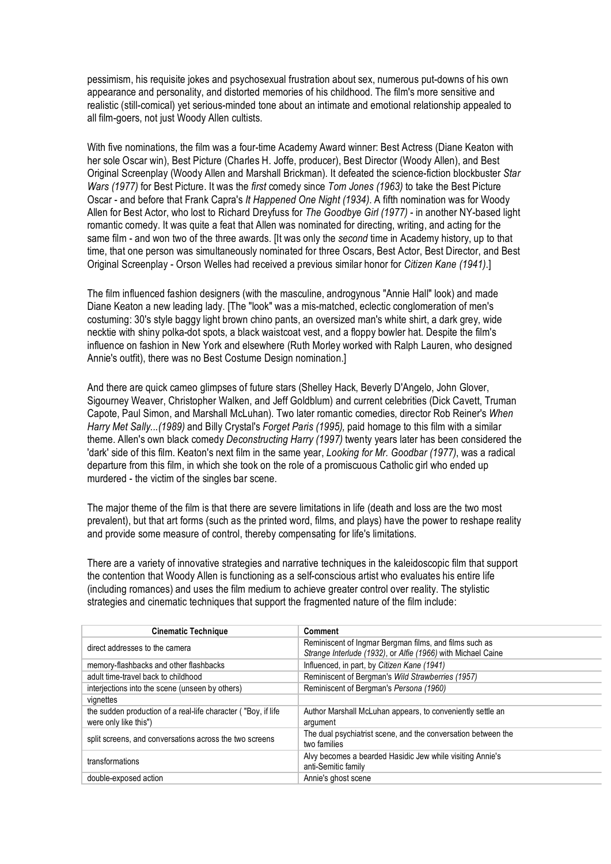pessimism, his requisite jokes and psychosexual frustration about sex, numerous put-downs of his own appearance and personality, and distorted memories of his childhood. The film's more sensitive and realistic (still-comical) yet serious-minded tone about an intimate and emotional relationship appealed to all film-goers, not just Woody Allen cultists.

With five nominations, the film was a four-time Academy Award winner: Best Actress (Diane Keaton with her sole Oscar win), Best Picture (Charles H. Joffe, producer), Best Director (Woody Allen), and Best Original Screenplay (Woody Allen and Marshall Brickman). It defeated the science-fiction blockbuster *Star Wars (1977)* for Best Picture. It was the *first* comedy since *Tom Jones (1963)* to take the Best Picture Oscar - and before that Frank Capra's *It Happened One Night (1934)*. A fifth nomination was for Woody Allen for Best Actor, who lost to Richard Dreyfuss for *The Goodbye Girl (1977)* - in another NY-based light romantic comedy. It was quite a feat that Allen was nominated for directing, writing, and acting for the same film - and won two of the three awards. [It was only the *second* time in Academy history, up to that time, that one person was simultaneously nominated for three Oscars, Best Actor, Best Director, and Best Original Screenplay - Orson Welles had received a previous similar honor for *Citizen Kane (1941)*.]

The film influenced fashion designers (with the masculine, androgynous "Annie Hall" look) and made Diane Keaton a new leading lady. [The "look" was a mis-matched, eclectic conglomeration of men's costuming: 30's style baggy light brown chino pants, an oversized man's white shirt, a dark grey, wide necktie with shiny polka-dot spots, a black waistcoat vest, and a floppy bowler hat. Despite the film's influence on fashion in New York and elsewhere (Ruth Morley worked with Ralph Lauren, who designed Annie's outfit), there was no Best Costume Design nomination.]

And there are quick cameo glimpses of future stars (Shelley Hack, Beverly D'Angelo, John Glover, Sigourney Weaver, Christopher Walken, and Jeff Goldblum) and current celebrities (Dick Cavett, Truman Capote, Paul Simon, and Marshall McLuhan). Two later romantic comedies, director Rob Reiner's *When Harry Met Sally...(1989)* and Billy Crystal's *Forget Paris (1995),* paid homage to this film with a similar theme. Allen's own black comedy *Deconstructing Harry (1997)* twenty years later has been considered the 'dark' side of this film. Keaton's next film in the same year, *Looking for Mr. Goodbar (1977)*, was a radical departure from this film, in which she took on the role of a promiscuous Catholic girl who ended up murdered - the victim of the singles bar scene.

The major theme of the film is that there are severe limitations in life (death and loss are the two most prevalent), but that art forms (such as the printed word, films, and plays) have the power to reshape reality and provide some measure of control, thereby compensating for life's limitations.

There are a variety of innovative strategies and narrative techniques in the kaleidoscopic film that support the contention that Woody Allen is functioning as a self-conscious artist who evaluates his entire life (including romances) and uses the film medium to achieve greater control over reality. The stylistic strategies and cinematic techniques that support the fragmented nature of the film include:

| <b>Cinematic Technique</b>                                                             | <b>Comment</b>                                                                                                         |
|----------------------------------------------------------------------------------------|------------------------------------------------------------------------------------------------------------------------|
| direct addresses to the camera                                                         | Reminiscent of Ingmar Bergman films, and films such as<br>Strange Interlude (1932), or Alfie (1966) with Michael Caine |
| memory-flashbacks and other flashbacks                                                 | Influenced, in part, by Citizen Kane (1941)                                                                            |
| adult time-travel back to childhood                                                    | Reminiscent of Bergman's Wild Strawberries (1957)                                                                      |
| interjections into the scene (unseen by others)                                        | Reminiscent of Bergman's Persona (1960)                                                                                |
| vignettes                                                                              |                                                                                                                        |
| the sudden production of a real-life character ("Boy, if life<br>were only like this") | Author Marshall McLuhan appears, to conveniently settle an<br>argument                                                 |
| split screens, and conversations across the two screens                                | The dual psychiatrist scene, and the conversation between the<br>two families                                          |
| transformations                                                                        | Alvy becomes a bearded Hasidic Jew while visiting Annie's<br>anti-Semitic family                                       |
| double-exposed action                                                                  | Annie's ghost scene                                                                                                    |